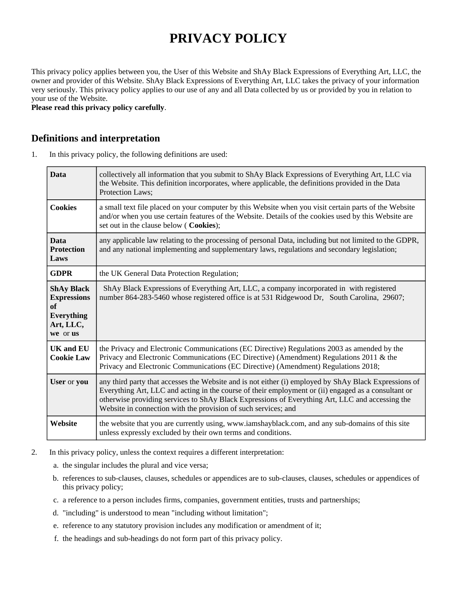# **PRIVACY POLICY**

This privacy policy applies between you, the User of this Website and ShAy Black Expressions of Everything Art, LLC, the owner and provider of this Website. ShAy Black Expressions of Everything Art, LLC takes the privacy of your information very seriously. This privacy policy applies to our use of any and all Data collected by us or provided by you in relation to your use of the Website.

**Please read this privacy policy carefully**.

#### **Definitions and interpretation**

1. In this privacy policy, the following definitions are used:

| <b>Data</b>                                                                                 | collectively all information that you submit to ShAy Black Expressions of Everything Art, LLC via<br>the Website. This definition incorporates, where applicable, the definitions provided in the Data<br>Protection Laws;                                                                                                                                                        |
|---------------------------------------------------------------------------------------------|-----------------------------------------------------------------------------------------------------------------------------------------------------------------------------------------------------------------------------------------------------------------------------------------------------------------------------------------------------------------------------------|
| <b>Cookies</b>                                                                              | a small text file placed on your computer by this Website when you visit certain parts of the Website<br>and/or when you use certain features of the Website. Details of the cookies used by this Website are<br>set out in the clause below (Cookies);                                                                                                                           |
| <b>Data</b><br><b>Protection</b><br>Laws                                                    | any applicable law relating to the processing of personal Data, including but not limited to the GDPR,<br>and any national implementing and supplementary laws, regulations and secondary legislation;                                                                                                                                                                            |
| <b>GDPR</b>                                                                                 | the UK General Data Protection Regulation;                                                                                                                                                                                                                                                                                                                                        |
| <b>ShAy Black</b><br><b>Expressions</b><br>of<br><b>Everything</b><br>Art, LLC,<br>we or us | ShAy Black Expressions of Everything Art, LLC, a company incorporated in with registered<br>number 864-283-5460 whose registered office is at 531 Ridgewood Dr, South Carolina, 29607;                                                                                                                                                                                            |
| <b>UK</b> and <b>EU</b><br><b>Cookie Law</b>                                                | the Privacy and Electronic Communications (EC Directive) Regulations 2003 as amended by the<br>Privacy and Electronic Communications (EC Directive) (Amendment) Regulations 2011 & the<br>Privacy and Electronic Communications (EC Directive) (Amendment) Regulations 2018;                                                                                                      |
| User or you                                                                                 | any third party that accesses the Website and is not either (i) employed by ShAy Black Expressions of<br>Everything Art, LLC and acting in the course of their employment or (ii) engaged as a consultant or<br>otherwise providing services to ShAy Black Expressions of Everything Art, LLC and accessing the<br>Website in connection with the provision of such services; and |
| Website                                                                                     | the website that you are currently using, www.iamshayblack.com, and any sub-domains of this site<br>unless expressly excluded by their own terms and conditions.                                                                                                                                                                                                                  |

- 2. In this privacy policy, unless the context requires a different interpretation:
	- a. the singular includes the plural and vice versa;
	- b. references to sub-clauses, clauses, schedules or appendices are to sub-clauses, clauses, schedules or appendices of this privacy policy;
	- c. a reference to a person includes firms, companies, government entities, trusts and partnerships;
	- d. "including" is understood to mean "including without limitation";
	- e. reference to any statutory provision includes any modification or amendment of it;
	- f. the headings and sub-headings do not form part of this privacy policy.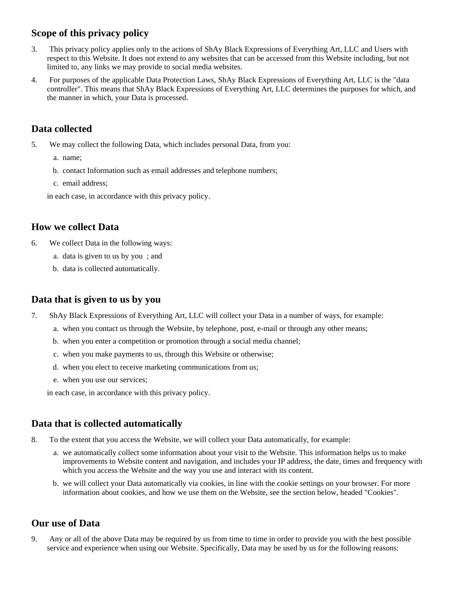# **Scope of this privacy policy**

- 3. This privacy policy applies only to the actions of ShAy Black Expressions of Everything Art, LLC and Users with respect to this Website. It does not extend to any websites that can be accessed from this Website including, but not limited to, any links we may provide to social media websites.
- 4. For purposes of the applicable Data Protection Laws, ShAy Black Expressions of Everything Art, LLC is the "data controller". This means that ShAy Black Expressions of Everything Art, LLC determines the purposes for which, and the manner in which, your Data is processed.

# **Data collected**

5. We may collect the following Data, which includes personal Data, from you:

a. name;

- b. contact Information such as email addresses and telephone numbers;
- c. email address;

in each case, in accordance with this privacy policy.

## **How we collect Data**

- 6. We collect Data in the following ways:
	- a. data is given to us by you ; and
	- b. data is collected automatically.

# **Data that is given to us by you**

- 7. ShAy Black Expressions of Everything Art, LLC will collect your Data in a number of ways, for example:
	- a. when you contact us through the Website, by telephone, post, e-mail or through any other means;
	- b. when you enter a competition or promotion through a social media channel;
	- c. when you make payments to us, through this Website or otherwise;
	- d. when you elect to receive marketing communications from us;
	- e. when you use our services;

in each case, in accordance with this privacy policy.

## **Data that is collected automatically**

- 8. To the extent that you access the Website, we will collect your Data automatically, for example:
	- a. we automatically collect some information about your visit to the Website. This information helps us to make improvements to Website content and navigation, and includes your IP address, the date, times and frequency with which you access the Website and the way you use and interact with its content.
	- b. we will collect your Data automatically via cookies, in line with the cookie settings on your browser. For more information about cookies, and how we use them on the Website, see the section below, headed "Cookies".

## **Our use of Data**

9. Any or all of the above Data may be required by us from time to time in order to provide you with the best possible service and experience when using our Website. Specifically, Data may be used by us for the following reasons: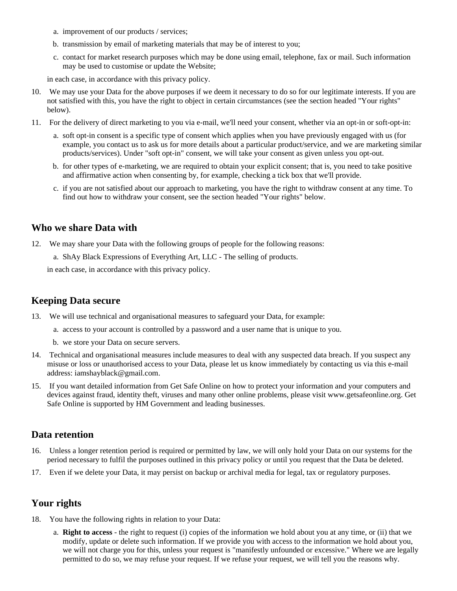- a. improvement of our products / services;
- b. transmission by email of marketing materials that may be of interest to you;
- c. contact for market research purposes which may be done using email, telephone, fax or mail. Such information may be used to customise or update the Website;

in each case, in accordance with this privacy policy.

- 10. We may use your Data for the above purposes if we deem it necessary to do so for our legitimate interests. If you are not satisfied with this, you have the right to object in certain circumstances (see the section headed "Your rights" below).
- 11. For the delivery of direct marketing to you via e-mail, we'll need your consent, whether via an opt-in or soft-opt-in:
	- a. soft opt-in consent is a specific type of consent which applies when you have previously engaged with us (for example, you contact us to ask us for more details about a particular product/service, and we are marketing similar products/services). Under "soft opt-in" consent, we will take your consent as given unless you opt-out.
	- b. for other types of e-marketing, we are required to obtain your explicit consent; that is, you need to take positive and affirmative action when consenting by, for example, checking a tick box that we'll provide.
	- c. if you are not satisfied about our approach to marketing, you have the right to withdraw consent at any time. To find out how to withdraw your consent, see the section headed "Your rights" below.

## **Who we share Data with**

12. We may share your Data with the following groups of people for the following reasons:

a. ShAy Black Expressions of Everything Art, LLC - The selling of products.

in each case, in accordance with this privacy policy.

#### **Keeping Data secure**

- 13. We will use technical and organisational measures to safeguard your Data, for example:
	- a. access to your account is controlled by a password and a user name that is unique to you.
	- b. we store your Data on secure servers.
- 14. Technical and organisational measures include measures to deal with any suspected data breach. If you suspect any misuse or loss or unauthorised access to your Data, please let us know immediately by contacting us via this e-mail address: iamshayblack@gmail.com.
- 15. If you want detailed information from Get Safe Online on how to protect your information and your computers and devices against fraud, identity theft, viruses and many other online problems, please visit www.getsafeonline.org. Get Safe Online is supported by HM Government and leading businesses.

#### **Data retention**

- 16. Unless a longer retention period is required or permitted by law, we will only hold your Data on our systems for the period necessary to fulfil the purposes outlined in this privacy policy or until you request that the Data be deleted.
- 17. Even if we delete your Data, it may persist on backup or archival media for legal, tax or regulatory purposes.

## **Your rights**

- 18. You have the following rights in relation to your Data:
	- a. **Right to access** the right to request (i) copies of the information we hold about you at any time, or (ii) that we modify, update or delete such information. If we provide you with access to the information we hold about you, we will not charge you for this, unless your request is "manifestly unfounded or excessive." Where we are legally permitted to do so, we may refuse your request. If we refuse your request, we will tell you the reasons why.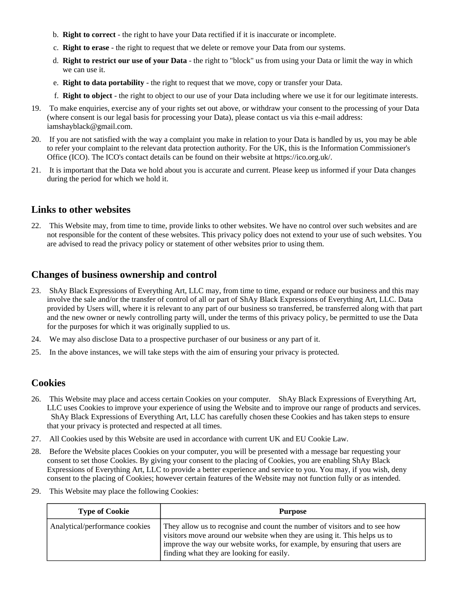- b. **Right to correct** the right to have your Data rectified if it is inaccurate or incomplete.
- c. **Right to erase** the right to request that we delete or remove your Data from our systems.
- d. **Right to restrict our use of your Data** the right to "block" us from using your Data or limit the way in which we can use it.
- e. **Right to data portability** the right to request that we move, copy or transfer your Data.
- f. **Right to object** the right to object to our use of your Data including where we use it for our legitimate interests.
- 19. To make enquiries, exercise any of your rights set out above, or withdraw your consent to the processing of your Data (where consent is our legal basis for processing your Data), please contact us via this e-mail address: iamshayblack@gmail.com.
- 20. If you are not satisfied with the way a complaint you make in relation to your Data is handled by us, you may be able to refer your complaint to the relevant data protection authority. For the UK, this is the Information Commissioner's Office (ICO). The ICO's contact details can be found on their website at https://ico.org.uk/.
- 21. It is important that the Data we hold about you is accurate and current. Please keep us informed if your Data changes during the period for which we hold it.

#### **Links to other websites**

22. This Website may, from time to time, provide links to other websites. We have no control over such websites and are not responsible for the content of these websites. This privacy policy does not extend to your use of such websites. You are advised to read the privacy policy or statement of other websites prior to using them.

#### **Changes of business ownership and control**

- 23. ShAy Black Expressions of Everything Art, LLC may, from time to time, expand or reduce our business and this may involve the sale and/or the transfer of control of all or part of ShAy Black Expressions of Everything Art, LLC. Data provided by Users will, where it is relevant to any part of our business so transferred, be transferred along with that part and the new owner or newly controlling party will, under the terms of this privacy policy, be permitted to use the Data for the purposes for which it was originally supplied to us.
- 24. We may also disclose Data to a prospective purchaser of our business or any part of it.
- 25. In the above instances, we will take steps with the aim of ensuring your privacy is protected.

#### **Cookies**

- 26. This Website may place and access certain Cookies on your computer. ShAy Black Expressions of Everything Art, LLC uses Cookies to improve your experience of using the Website and to improve our range of products and services. ShAy Black Expressions of Everything Art, LLC has carefully chosen these Cookies and has taken steps to ensure that your privacy is protected and respected at all times.
- 27. All Cookies used by this Website are used in accordance with current UK and EU Cookie Law.
- 28. Before the Website places Cookies on your computer, you will be presented with a message bar requesting your consent to set those Cookies. By giving your consent to the placing of Cookies, you are enabling ShAy Black Expressions of Everything Art, LLC to provide a better experience and service to you. You may, if you wish, deny consent to the placing of Cookies; however certain features of the Website may not function fully or as intended.
- 29. This Website may place the following Cookies:

| <b>Type of Cookie</b>          | <b>Purpose</b>                                                                                                                                                                                                                                                                     |
|--------------------------------|------------------------------------------------------------------------------------------------------------------------------------------------------------------------------------------------------------------------------------------------------------------------------------|
| Analytical/performance cookies | They allow us to recognise and count the number of visitors and to see how<br>visitors move around our website when they are using it. This helps us to<br>improve the way our website works, for example, by ensuring that users are<br>finding what they are looking for easily. |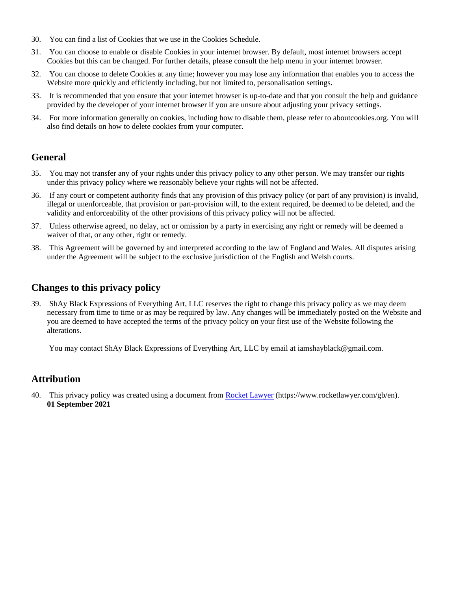- 30. You can find a list of Cookies that we use in the Cookies Schedule.
- 31. You can choose to enable or disable Cookies in your internet browser. By default, most internet browsers accept Cookies but this can be changed. For further details, please consult the help menu in your internet browser.
- 32. You can choose to delete Cookies at any time; however you may lose any information that enables you to access the Website more quickly and efficiently including, but not limited to, personalisation settings.
- 33. It is recommended that you ensure that your internet browser is up-to-date and that you consult the help and guidance provided by the developer of your internet browser if you are unsure about adjusting your privacy settings.
- 34. For more information generally on cookies, including how to disable them, please refer to aboutcookies.org. You will also find details on how to delete cookies from your computer.

## **General**

- 35. You may not transfer any of your rights under this privacy policy to any other person. We may transfer our rights under this privacy policy where we reasonably believe your rights will not be affected.
- 36. If any court or competent authority finds that any provision of this privacy policy (or part of any provision) is invalid, illegal or unenforceable, that provision or part-provision will, to the extent required, be deemed to be deleted, and the validity and enforceability of the other provisions of this privacy policy will not be affected.
- 37. Unless otherwise agreed, no delay, act or omission by a party in exercising any right or remedy will be deemed a waiver of that, or any other, right or remedy.
- 38. This Agreement will be governed by and interpreted according to the law of England and Wales. All disputes arising under the Agreement will be subject to the exclusive jurisdiction of the English and Welsh courts.

## **Changes to this privacy policy**

39. ShAy Black Expressions of Everything Art, LLC reserves the right to change this privacy policy as we may deem necessary from time to time or as may be required by law. Any changes will be immediately posted on the Website and you are deemed to have accepted the terms of the privacy policy on your first use of the Website following the alterations.

You may contact ShAy Black Expressions of Everything Art, LLC by email at iamshayblack@gmail.com.

## **Attribution**

40. This privacy policy was created using a document from [Rocket Lawyer](https://www.rocketlawyer.com/gb/en/) (https://www.rocketlawyer.com/gb/en). **01 September 2021**